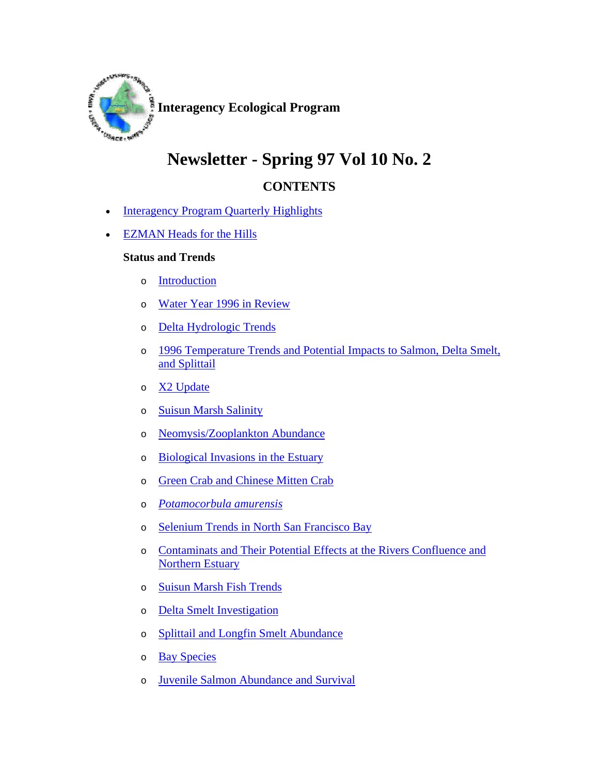

## **Newsletter - Spring 97 Vol 10 No. 2**

## **CONTENTS**

- Interagency Program Quarterly Highlights
- EZMAN Heads for the Hills

## **Status and Trends**

- o Introduction
- o Water Year 1996 in Review
- o Delta Hydrologic Trends
- o 1996 Temperature Trends and Potential Impacts to Salmon, Delta Smelt, and Splittail
- o X2 Update
- o Suisun Marsh Salinity
- o Neomysis/Zooplankton Abundance
- o Biological Invasions in the Estuary
- o Green Crab and Chinese Mitten Crab
- o *Potamocorbula amurensis*
- o Selenium Trends in North San Francisco Bay
- o Contaminats and Their Potential Effects at the Rivers Confluence and Northern Estuary
- o Suisun Marsh Fish Trends
- o Delta Smelt Investigation
- o Splittail and Longfin Smelt Abundance
- o Bay Species
- o Juvenile Salmon Abundance and Survival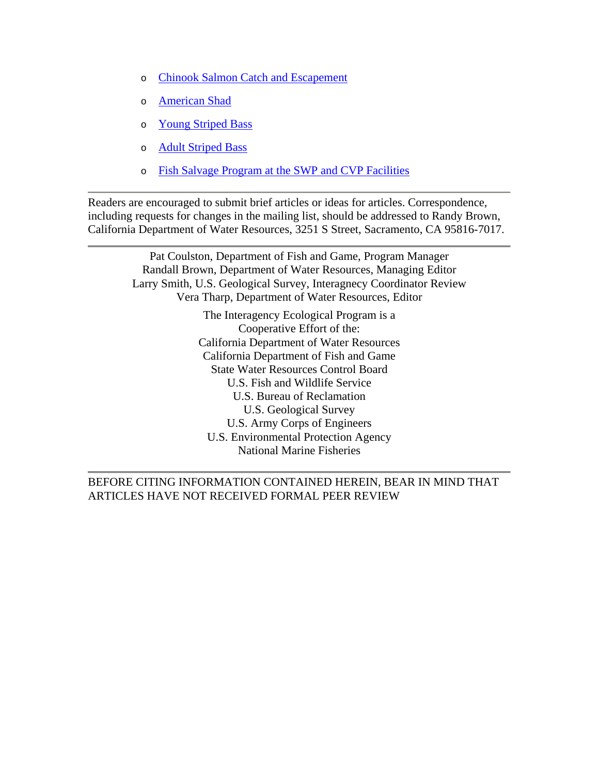- o Chinook Salmon Catch and Escapement
- o American Shad
- o Young Striped Bass
- o Adult Striped Bass
- o Fish Salvage Program at the SWP and CVP Facilities

Readers are encouraged to submit brief articles or ideas for articles. Correspondence, including requests for changes in the mailing list, should be addressed to Randy Brown, California Department of Water Resources, 3251 S Street, Sacramento, CA 95816-7017.

> Pat Coulston, Department of Fish and Game, Program Manager Randall Brown, Department of Water Resources, Managing Editor Larry Smith, U.S. Geological Survey, Interagnecy Coordinator Review Vera Tharp, Department of Water Resources, Editor The Interagency Ecological Program is a Cooperative Effort of the: California Department of Water Resources California Department of Fish and Game State Water Resources Control Board U.S. Fish and Wildlife Service U.S. Bureau of Reclamation U.S. Geological Survey U.S. Army Corps of Engineers U.S. Environmental Protection Agency National Marine Fisheries

BEFORE CITING INFORMATION CONTAINED HEREIN, BEAR IN MIND THAT ARTICLES HAVE NOT RECEIVED FORMAL PEER REVIEW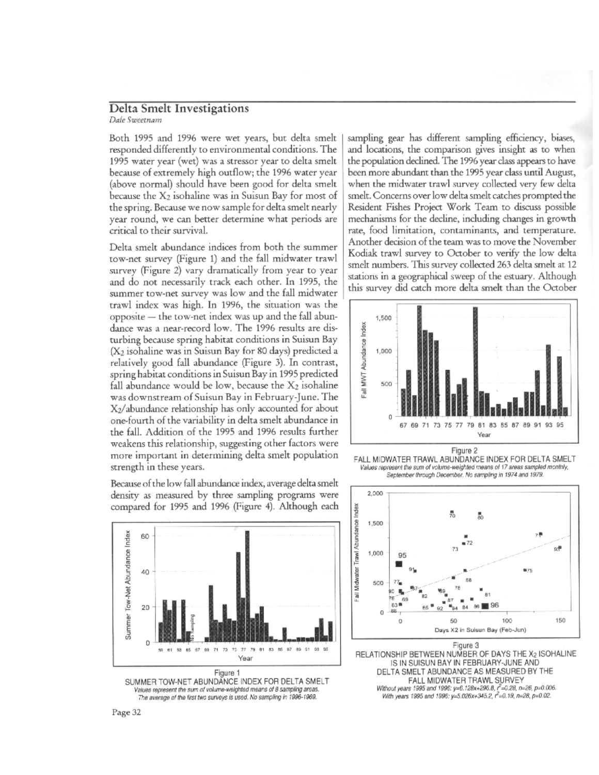## Delta Smelt Investigations Dale Sweetnam

Both 1995 and 1996 were wet years, but delta smelt responded differently to environmental conditions. The 1995 water year (wet) was a stressor year to delta smelt because of extremely high outflow; the 1996 water vear (above normal) should have been good for delta smelt because the X<sub>2</sub> isohaline was in Suisun Bay for most of the spring. Because we now sample for delta smelt nearly year round, we can better determine what periods are critical to their survival.

Delta smelt abundance indices from both the summer tow-net survey (Figure 1) and the fall midwater trawl survey (Figure 2) vary dramatically from year to year and do not necessarily track each other. In 1995, the summer tow-net survey was low and the fall midwater trawl index was high. In 1996, the situation was the opposite – the tow-net index was up and the fall abundance was a near-record low. The 1996 results are disturbing because spring habitat conditions in Suisun Bay (X<sub>2</sub> isohaline was in Suisun Bay for 80 days) predicted a relatively good fall abundance (Figure 3). In contrast, spring habitat conditions in Suisun Bay in 1995 predicted fall abundance would be low, because the  $X_2$  isohaline was downstream of Suisun Bay in February-June. The X2/abundance relationship has only accounted for about one-fourth of the variability in delta smelt abundance in the fall. Addition of the 1995 and 1996 results further weakens this relationship, suggesting other factors were more important in determining delta smelt population strength in these years.

Because of the low fall abundance index, average delta smelt density as measured by three sampling programs were compared for 1995 and 1996 (Figure 4). Although each



Values represent the sum of volume-weighted means of 8 sampling areas. The average of the first two surveys is used. No sampling in 1996-1969.

sampling gear has different sampling efficiency, biases, and locations, the comparison gives insight as to when the population declined. The 1996 year class appears to have been more abundant than the 1995 year class until August, when the midwater trawl survey collected very few delta smelt. Concerns over low delta smelt catches prompted the Resident Fishes Project Work Team to discuss possible mechanisms for the decline, including changes in growth rate, food limitation, contaminants, and temperature. Another decision of the team was to move the November Kodiak trawl survey to October to verify the low delta smelt numbers. This survey collected 263 delta smelt at 12 stations in a geographical sweep of the estuary. Although this survey did catch more delta smelt than the October



FALL MIDWATER TRAWL ABUNDANCE INDEX FOR DELTA SMELT Values represent the sum of volume-weighted means of 17 areas sampled monthly, September through December. No sampling in 1974 and 1979.



Figure 3 RELATIONSHIP BETWEEN NUMBER OF DAYS THE X2 ISOHALINE IS IN SUISUN BAY IN FEBRUARY-JUNE AND DELTA SMELT ABUNDANCE AS MEASURED BY THE<br>FALL MIDWATER TRAWL SURVEY Without years 1995 and 1996: y=6.128x+296.8, r=2.28, n=26, p=0.006.<br>With years 1995 and 1996: y=5.026x+345.2, r =0.19, n=28, p=0.02.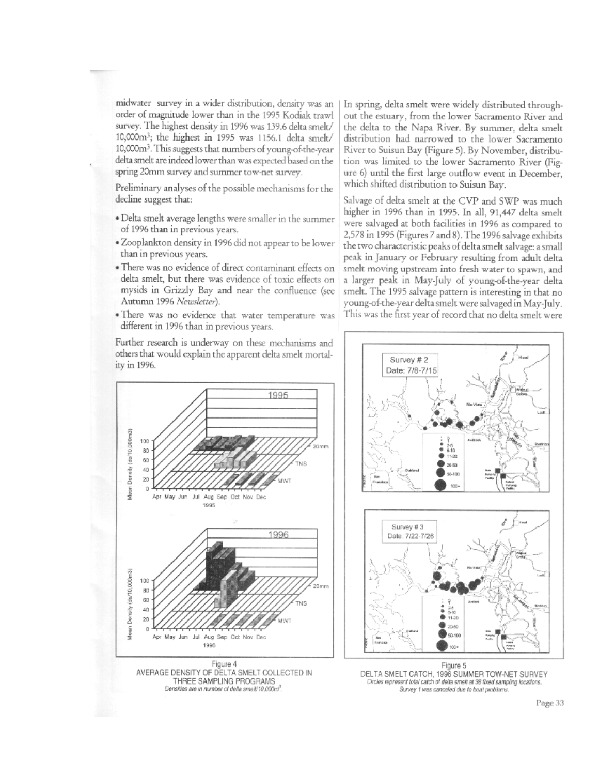midwater survey in a wider distribution, density was an order of magnitude lower than in the 1995 Kodiak trawl survey. The highest density in 1996 was 139.6 delta smelt/ 10,000m<sup>3</sup>; the highest in 1995 was 1156.1 delta smelt/ 10,000m<sup>3</sup>. This suggests that numbers of young-of-the-year delta smelt are indeed lower than was expected based on the spring 20mm survey and summer tow-net survey.

Preliminary analyses of the possible mechanisms for the decline suggest that:

- · Delta smelt average lengths were smaller in the summer of 1996 than in previous years.
- · Zooplankton density in 1996 did not appear to be lower than in previous years.
- . There was no evidence of direct contaminant effects on delta smelt, but there was evidence of toxic effects on mysids in Grizzly Bay and near the confluence (see Autumn 1996 Newsletter).
- . There was no evidence that water temperature was different in 1996 than in previous years.

Further research is underway on these mechanisms and others that would explain the apparent delta smelt mortality in 1996.

In spring, delta smelt were widely distributed throughout the estuary, from the lower Sacramento River and the delta to the Napa River. By summer, delta smelt distribution had narrowed to the lower Sacramento River to Suisun Bay (Figure 5). By November, distribution was limited to the lower Sacramento River (Figure 6) until the first large outflow event in December, which shifted distribution to Suisun Bay.

Salvage of delta smelt at the CVP and SWP was much higher in 1996 than in 1995. In all, 91,447 delta smelt were salvaged at both facilities in 1996 as compared to 2,578 in 1995 (Figures 7 and 8). The 1996 salvage exhibits the two characteristic peaks of delta smelt salvage: a small peak in January or February resulting from adult delta smelt moving upstream into fresh water to spawn, and a larger peak in May-July of young-of-the-year delta smelt. The 1995 salvage pattern is interesting in that no young-of-the-year delta smelt were salvaged in May-July. This was the first year of record that no delta smelt were





DELTA SMELT CATCH, 1996 SUMMER TOW-NET SURVEY Circles represent total catch of delta smelt at 38 fixed sampling locations. Survey 1 was canceled due to boat problems.